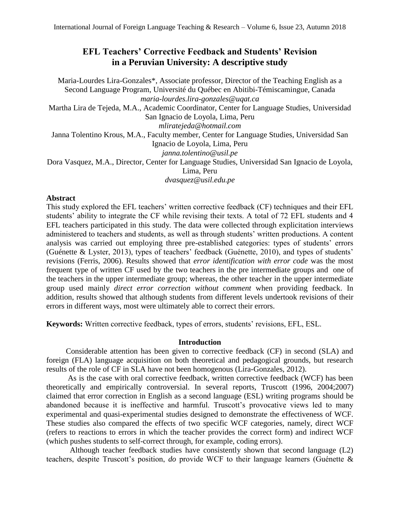# **EFL Teachers' Corrective Feedback and Students' Revision in a Peruvian University: A descriptive study**

Maria-Lourdes Lira-Gonzales\*, Associate professor, Director of the Teaching English as a Second Language Program, Université du Québec en Abitibi-Témiscamingue, Canada *maria-lourdes.lira-gonzales@uqat.ca* Martha Lira de Tejeda, M.A., Academic Coordinator, Center for Language Studies, Universidad San Ignacio de Loyola, Lima, Peru *mliratejeda@hotmail.com* Janna Tolentino Krous, M.A., Faculty member, Center for Language Studies, Universidad San Ignacio de Loyola, Lima, Peru *janna.tolentino@usil.pe* Dora Vasquez, M.A., Director, Center for Language Studies, Universidad San Ignacio de Loyola, Lima, Peru *[dvasquez@usil.edu.pe](mailto:dvasquez@usil.edu.pe)*

# **Abstract**

This study explored the EFL teachers' written corrective feedback (CF) techniques and their EFL students' ability to integrate the CF while revising their texts. A total of 72 EFL students and 4 EFL teachers participated in this study. The data were collected through explicitation interviews administered to teachers and students, as well as through students' written productions. A content analysis was carried out employing three pre-established categories: types of students' errors (Guénette & Lyster, 2013), types of teachers' feedback (Guénette, 2010), and types of students' revisions (Ferris, 2006). Results showed that *error identification with error code* was the most frequent type of written CF used by the two teachers in the pre intermediate groups and one of the teachers in the upper intermediate group; whereas, the other teacher in the upper intermediate group used mainly *direct error correction without comment* when providing feedback. In addition, results showed that although students from different levels undertook revisions of their errors in different ways, most were ultimately able to correct their errors.

**Keywords:** Written corrective feedback, types of errors, students' revisions, EFL, ESL.

# **Introduction**

 Considerable attention has been given to corrective feedback (CF) in second (SLA) and foreign (FLA) language acquisition on both theoretical and pedagogical grounds, but research results of the role of CF in SLA have not been homogenous (Lira-Gonzales, 2012).

 As is the case with oral corrective feedback, written corrective feedback (WCF) has been theoretically and empirically controversial. In several reports, Truscott (1996, 2004;2007) claimed that error correction in English as a second language (ESL) writing programs should be abandoned because it is ineffective and harmful. Truscott's provocative views led to many experimental and quasi-experimental studies designed to demonstrate the effectiveness of WCF. These studies also compared the effects of two specific WCF categories, namely, direct WCF (refers to reactions to errors in which the teacher provides the correct form) and indirect WCF (which pushes students to self-correct through, for example, coding errors).

 Although teacher feedback studies have consistently shown that second language (L2) teachers, despite Truscott's position, *do* provide WCF to their language learners (Guénette &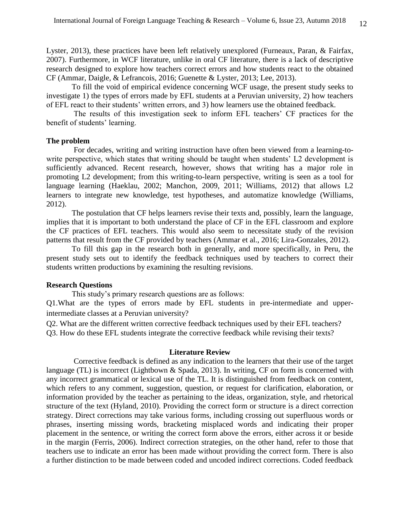Lyster, 2013), these practices have been left relatively unexplored (Furneaux, Paran, & Fairfax, 2007). Furthermore, in WCF literature, unlike in oral CF literature, there is a lack of descriptive research designed to explore how teachers correct errors and how students react to the obtained CF (Ammar, Daigle, & Lefrancois, 2016; Guenette & Lyster, 2013; Lee, 2013).

 To fill the void of empirical evidence concerning WCF usage, the present study seeks to investigate 1) the types of errors made by EFL students at a Peruvian university, 2) how teachers of EFL react to their students' written errors, and 3) how learners use the obtained feedback.

 The results of this investigation seek to inform EFL teachers' CF practices for the benefit of students' learning.

#### **The problem**

 For decades, writing and writing instruction have often been viewed from a learning-towrite perspective, which states that writing should be taught when students' L2 development is sufficiently advanced. Recent research, however, shows that writing has a major role in promoting L2 development; from this writing-to-learn perspective, writing is seen as a tool for language learning (Haeklau, 2002; Manchon, 2009, 2011; Williams, 2012) that allows L2 learners to integrate new knowledge, test hypotheses, and automatize knowledge (Williams, 2012).

 The postulation that CF helps learners revise their texts and, possibly, learn the language, implies that it is important to both understand the place of CF in the EFL classroom and explore the CF practices of EFL teachers. This would also seem to necessitate study of the revision patterns that result from the CF provided by teachers (Ammar et al., 2016; Lira-Gonzales, 2012).

 To fill this gap in the research both in generally, and more specifically, in Peru, the present study sets out to identify the feedback techniques used by teachers to correct their students written productions by examining the resulting revisions.

# **Research Questions**

This study's primary research questions are as follows:

Q1.What are the types of errors made by EFL students in pre-intermediate and upperintermediate classes at a Peruvian university?

Q2. What are the different written corrective feedback techniques used by their EFL teachers?

Q3. How do these EFL students integrate the corrective feedback while revising their texts?

# **Literature Review**

 Corrective feedback is defined as any indication to the learners that their use of the target language (TL) is incorrect (Lightbown & Spada, 2013). In writing, CF on form is concerned with any incorrect grammatical or lexical use of the TL. It is distinguished from feedback on content, which refers to any comment, suggestion, question, or request for clarification, elaboration, or information provided by the teacher as pertaining to the ideas, organization, style, and rhetorical structure of the text (Hyland, 2010). Providing the correct form or structure is a direct correction strategy. Direct corrections may take various forms, including crossing out superfluous words or phrases, inserting missing words, bracketing misplaced words and indicating their proper placement in the sentence, or writing the correct form above the errors, either across it or beside in the margin (Ferris, 2006). Indirect correction strategies, on the other hand, refer to those that teachers use to indicate an error has been made without providing the correct form. There is also a further distinction to be made between coded and uncoded indirect corrections. Coded feedback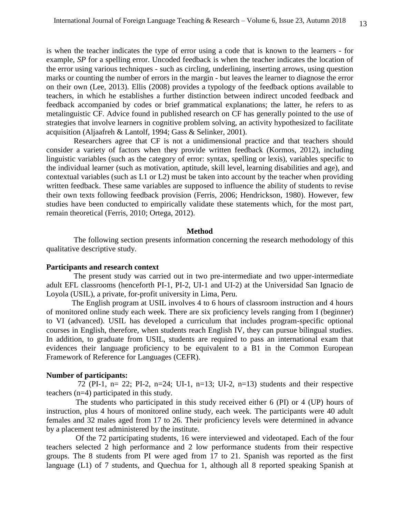is when the teacher indicates the type of error using a code that is known to the learners - for example, *SP* for a spelling error. Uncoded feedback is when the teacher indicates the location of the error using various techniques - such as circling, underlining, inserting arrows, using question marks or counting the number of errors in the margin - but leaves the learner to diagnose the error on their own (Lee, 2013). Ellis (2008) provides a typology of the feedback options available to teachers, in which he establishes a further distinction between indirect uncoded feedback and feedback accompanied by codes or brief grammatical explanations; the latter, he refers to as metalinguistic CF. Advice found in published research on CF has generally pointed to the use of strategies that involve learners in cognitive problem solving, an activity hypothesized to facilitate acquisition (Aljaafreh & Lantolf, 1994; Gass & Selinker, 2001).

 Researchers agree that CF is not a unidimensional practice and that teachers should consider a variety of factors when they provide written feedback (Kormos, 2012), including linguistic variables (such as the category of error: syntax, spelling or lexis), variables specific to the individual learner (such as motivation, aptitude, skill level, learning disabilities and age), and contextual variables (such as L1 or L2) must be taken into account by the teacher when providing written feedback. These same variables are supposed to influence the ability of students to revise their own texts following feedback provision (Ferris, 2006; Hendrickson, 1980). However, few studies have been conducted to empirically validate these statements which, for the most part, remain theoretical (Ferris, 2010; Ortega, 2012).

#### **Method**

 The following section presents information concerning the research methodology of this qualitative descriptive study.

### **Participants and research context**

 The present study was carried out in two pre-intermediate and two upper-intermediate adult EFL classrooms (henceforth PI-1, PI-2, UI-1 and UI-2) at the Universidad San Ignacio de Loyola (USIL), a private, for-profit university in Lima, Peru.

 The English program at USIL involves 4 to 6 hours of classroom instruction and 4 hours of monitored online study each week. There are six proficiency levels ranging from I (beginner) to VI (advanced). USIL has developed a curriculum that includes program-specific optional courses in English, therefore, when students reach English IV, they can pursue bilingual studies. In addition, to graduate from USIL, students are required to pass an international exam that evidences their language proficiency to be equivalent to a B1 in the Common European Framework of Reference for Languages (CEFR).

#### **Number of participants:**

 72 (PI-1, n= 22; PI-2, n=24; UI-1, n=13; UI-2, n=13) students and their respective teachers (n=4) participated in this study.

The students who participated in this study received either 6 (PI) or 4 (UP) hours of instruction, plus 4 hours of monitored online study, each week. The participants were 40 adult females and 32 males aged from 17 to 26. Their proficiency levels were determined in advance by a placement test administered by the institute.

 Of the 72 participating students, 16 were interviewed and videotaped. Each of the four teachers selected 2 high performance and 2 low performance students from their respective groups. The 8 students from PI were aged from 17 to 21. Spanish was reported as the first language (L1) of 7 students, and Quechua for 1, although all 8 reported speaking Spanish at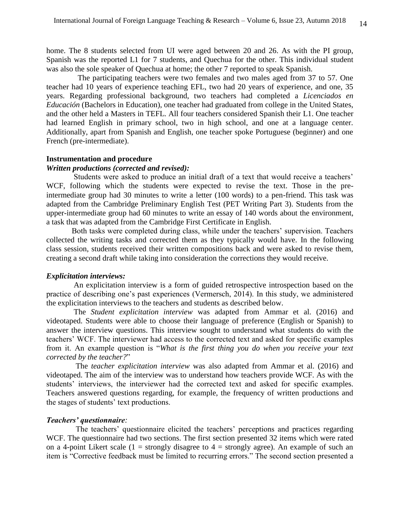home. The 8 students selected from UI were aged between 20 and 26. As with the PI group, Spanish was the reported L1 for 7 students, and Quechua for the other. This individual student was also the sole speaker of Quechua at home; the other 7 reported to speak Spanish.

 The participating teachers were two females and two males aged from 37 to 57. One teacher had 10 years of experience teaching EFL, two had 20 years of experience, and one, 35 years. Regarding professional background, two teachers had completed a *Licenciados en Educación* (Bachelors in Education), one teacher had graduated from college in the United States, and the other held a Masters in TEFL. All four teachers considered Spanish their L1. One teacher had learned English in primary school, two in high school, and one at a language center. Additionally, apart from Spanish and English, one teacher spoke Portuguese (beginner) and one French (pre-intermediate).

#### **Instrumentation and procedure**

#### *Written productions (corrected and revised):*

 Students were asked to produce an initial draft of a text that would receive a teachers' WCF, following which the students were expected to revise the text. Those in the preintermediate group had 30 minutes to write a letter (100 words) to a pen-friend. This task was adapted from the Cambridge Preliminary English Test (PET Writing Part 3). Students from the upper-intermediate group had 60 minutes to write an essay of 140 words about the environment, a task that was adapted from the Cambridge First Certificate in English.

 Both tasks were completed during class, while under the teachers' supervision. Teachers collected the writing tasks and corrected them as they typically would have. In the following class session, students received their written compositions back and were asked to revise them, creating a second draft while taking into consideration the corrections they would receive.

## *Explicitation interviews:*

 An explicitation interview is a form of guided retrospective introspection based on the practice of describing one's past experiences (Vermersch, 2014). In this study, we administered the explicitation interviews to the teachers and students as described below.

The *Student explicitation interview* was adapted from Ammar et al. (2016) and videotaped. Students were able to choose their language of preference (English or Spanish) to answer the interview questions. This interview sought to understand what students do with the teachers' WCF. The interviewer had access to the corrected text and asked for specific examples from it. An example question is "*What is the first thing you do when you receive your text corrected by the teacher?*"

The *teacher explicitation interview* was also adapted from Ammar et al. (2016) and videotaped. The aim of the interview was to understand how teachers provide WCF. As with the students' interviews, the interviewer had the corrected text and asked for specific examples. Teachers answered questions regarding, for example, the frequency of written productions and the stages of students' text productions.

# *Teachers' questionnaire:*

 The teachers' questionnaire elicited the teachers' perceptions and practices regarding WCF. The questionnaire had two sections. The first section presented 32 items which were rated on a 4-point Likert scale (1 = strongly disagree to  $4$  = strongly agree). An example of such an item is "Corrective feedback must be limited to recurring errors." The second section presented a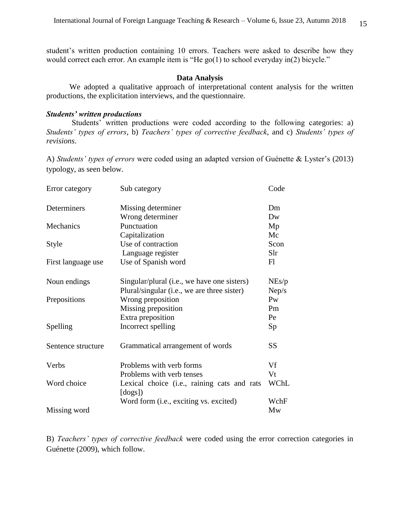student's written production containing 10 errors. Teachers were asked to describe how they would correct each error. An example item is "He go(1) to school everyday in(2) bicycle."

### **Data Analysis**

We adopted a qualitative approach of interpretational content analysis for the written productions, the explicitation interviews, and the questionnaire.

# *Students' written productions*

 Students' written productions were coded according to the following categories: a) *Students' types of errors*, b) *Teachers' types of corrective feedback*, and c) *Students' types of revisions*.

A) *Students' types of errors* were coded using an adapted version of Guénette & Lyster's (2013) typology, as seen below.

| Error category     | Sub category                                          | Code    |
|--------------------|-------------------------------------------------------|---------|
| Determiners        | Missing determiner                                    | Dm      |
|                    | Wrong determiner                                      | Dw      |
| Mechanics          | Punctuation                                           | Mp      |
|                    | Capitalization                                        | Mc      |
| Style              | Use of contraction                                    | Scon    |
|                    | Language register                                     | Slr     |
| First language use | Use of Spanish word                                   | F1      |
| Noun endings       | Singular/plural (i.e., we have one sisters)           | NEs/p   |
|                    | Plural/singular (i.e., we are three sister)           | Nep/s   |
| Prepositions       | Wrong preposition                                     | $P_{W}$ |
|                    | Missing preposition                                   | Pm      |
|                    | Extra preposition                                     | Pe      |
| Spelling           | Incorrect spelling                                    | Sp      |
| Sentence structure | Grammatical arrangement of words                      | SS      |
| Verbs              | Problems with verb forms                              | Vf      |
|                    | Problems with verb tenses                             | Vt      |
| Word choice        | Lexical choice (i.e., raining cats and rats<br>[dogs] | WChL    |
|                    | Word form ( <i>i.e.</i> , exciting vs. excited)       | WchF    |
| Missing word       |                                                       | Mw      |
|                    |                                                       |         |

B) *Teachers' types of corrective feedback* were coded using the error correction categories in Guénette (2009), which follow.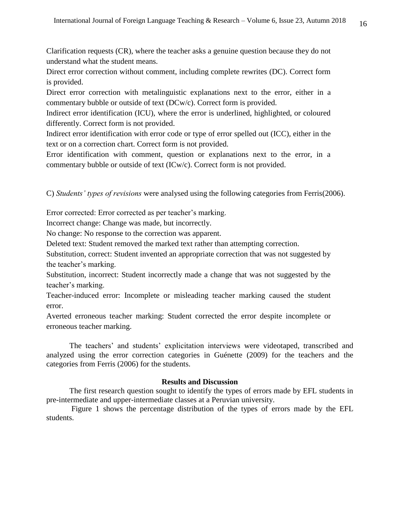Clarification requests (CR), where the teacher asks a genuine question because they do not understand what the student means.

 Direct error correction without comment, including complete rewrites (DC). Correct form is provided.

 Direct error correction with metalinguistic explanations next to the error, either in a commentary bubble or outside of text (DCw/c). Correct form is provided.

 Indirect error identification (ICU), where the error is underlined, highlighted, or coloured differently. Correct form is not provided.

 Indirect error identification with error code or type of error spelled out (ICC), either in the text or on a correction chart. Correct form is not provided.

 Error identification with comment, question or explanations next to the error, in a commentary bubble or outside of text (ICw/c). Correct form is not provided.

C) *Students' types of revisions* were analysed using the following categories from Ferris(2006).

Error corrected: Error corrected as per teacher's marking.

Incorrect change: Change was made, but incorrectly.

No change: No response to the correction was apparent.

Deleted text: Student removed the marked text rather than attempting correction.

 Substitution, correct: Student invented an appropriate correction that was not suggested by the teacher's marking.

 Substitution, incorrect: Student incorrectly made a change that was not suggested by the teacher's marking.

 Teacher-induced error: Incomplete or misleading teacher marking caused the student error.

 Averted erroneous teacher marking: Student corrected the error despite incomplete or erroneous teacher marking.

The teachers' and students' explicitation interviews were videotaped, transcribed and analyzed using the error correction categories in Guénette (2009) for the teachers and the categories from Ferris (2006) for the students.

#### **Results and Discussion**

The first research question sought to identify the types of errors made by EFL students in pre-intermediate and upper-intermediate classes at a Peruvian university.

Figure 1 shows the percentage distribution of the types of errors made by the EFL students.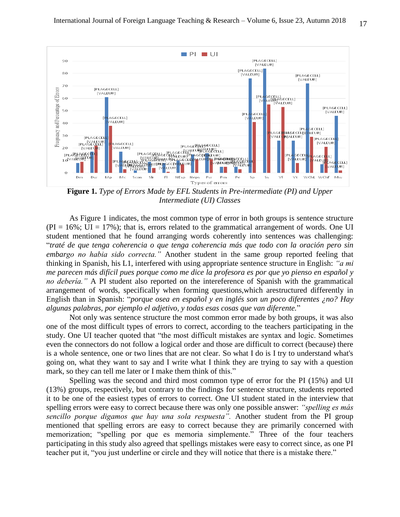

**Figure 1.** *Type of Errors Made by EFL Students in Pre-intermediate (PI) and Upper Intermediate (UI) Classes*

As Figure 1 indicates, the most common type of error in both groups is sentence structure  $(PI = 16\%; UI = 17\%;$ ; that is, errors related to the grammatical arrangement of words. One UI student mentioned that he found arranging words coherently into sentences was challenging: "*traté de que tenga coherencia o que tenga coherencia más que todo con la oración pero sin embargo no habia sido correcta."* Another student in the same group reported feeling that thinking in Spanish, his L1, interfered with using appropriate sentence structure in English: *"a mi me parecen más difícil pues porque como me dice la profesora es por que yo pienso en español y no debería."* A PI student also reported on the intereference of Spanish with the grammatical arrangement of words, specifically when forming questions,which arestructured differently in English than in Spanish: "*porque osea en español y en inglés son un poco diferentes ¿no? Hay algunas palabras, por ejemplo el adjetivo, y todas esas cosas que van diferente.*"

Not only was sentence structure the most common error made by both groups, it was also one of the most difficult types of errors to correct, according to the teachers participating in the study. One UI teacher quoted that "the most difficult mistakes are syntax and logic. Sometimes even the connectors do not follow a logical order and those are difficult to correct (because) there is a whole sentence, one or two lines that are not clear. So what I do is I try to understand what's going on, what they want to say and I write what I think they are trying to say with a question mark, so they can tell me later or I make them think of this."

Spelling was the second and third most common type of error for the PI (15%) and UI (13%) groups, respectively, but contrary to the findings for sentence structure, students reported it to be one of the easiest types of errors to correct. One UI student stated in the interview that spelling errors were easy to correct because there was only one possible answer: *"spelling es más sencillo porque digamos que hay una sola respuesta".* Another student from the PI group mentioned that spelling errors are easy to correct because they are primarily concerned with memorization; "spelling por que es memoria simplemente." Three of the four teachers participating in this study also agreed that spellings mistakes were easy to correct since, as one PI teacher put it, "you just underline or circle and they will notice that there is a mistake there."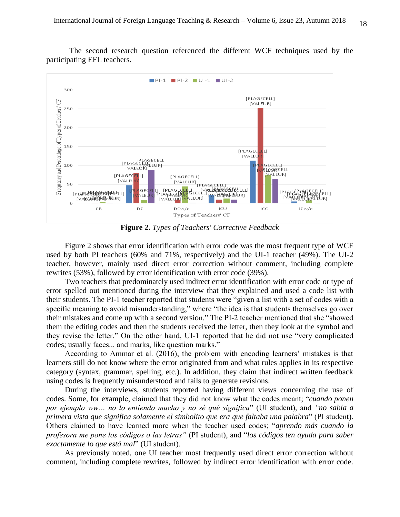

The second research question referenced the different WCF techniques used by the participating EFL teachers.

**Figure 2.** *Types of Teachers' Corrective Feedback*

Figure 2 shows that error identification with error code was the most frequent type of WCF used by both PI teachers (60% and 71%, respectively) and the UI-1 teacher (49%). The UI-2 teacher, however, mainly used direct error correction without comment, including complete rewrites (53%), followed by error identification with error code (39%).

Two teachers that predominately used indirect error identification with error code or type of error spelled out mentioned during the interview that they explained and used a code list with their students. The PI-1 teacher reported that students were "given a list with a set of codes with a specific meaning to avoid misunderstanding," where "the idea is that students themselves go over their mistakes and come up with a second version." The PI-2 teacher mentioned that she "showed them the editing codes and then the students received the letter, then they look at the symbol and they revise the letter." On the other hand, UI-1 reported that he did not use "very complicated codes; usually faces... and marks, like question marks."

According to Ammar et al. (2016), the problem with encoding learners' mistakes is that learners still do not know where the error originated from and what rules applies in its respective category (syntax, grammar, spelling, etc.). In addition, they claim that indirect written feedback using codes is frequently misunderstood and fails to generate revisions.

During the interviews, students reported having different views concerning the use of codes. Some, for example, claimed that they did not know what the codes meant; "*cuando ponen por ejemplo ww… no lo entiendo mucho y no sé qué significa*" (UI student), and *"no sabía a primera vista que significa solamente el simbolito que era que faltaba una palabra*" (PI student). Others claimed to have learned more when the teacher used codes; "*aprendo más cuando la profesora me pone los códigos o las letras"* (PI student), and "*los códigos ten ayuda para saber exactamente lo que está mal*" (UI student).

As previously noted, one UI teacher most frequently used direct error correction without comment, including complete rewrites, followed by indirect error identification with error code.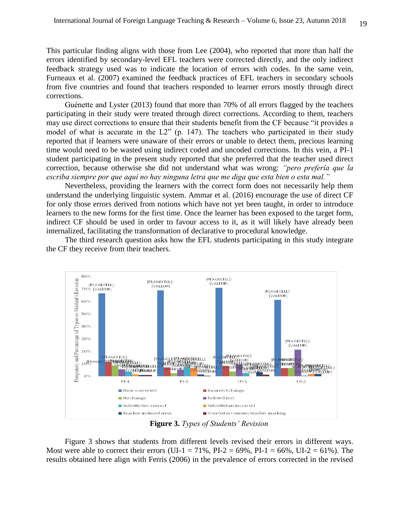This particular finding aligns with those from Lee (2004), who reported that more than half the errors identified by secondary-level EFL teachers were corrected directly, and the only indirect feedback strategy used was to indicate the location of errors with codes. In the same vein, Furneaux et al. (2007) examined the feedback practices of EFL teachers in secondary schools from five countries and found that teachers responded to learner errors mostly through direct corrections.

Guénette and Lyster (2013) found that more than 70% of all errors flagged by the teachers participating in their study were treated through direct corrections. According to them, teachers may use direct corrections to ensure that their students benefit from the CF because "it provides a model of what is accurate in the L2" (p. 147). The teachers who participated in their study reported that if learners were unaware of their errors or unable to detect them, precious learning time would need to be wasted using indirect coded and uncoded corrections. In this vein, a PI-1 student participating in the present study reported that she preferred that the teacher used direct correction, because otherwise she did not understand what was wrong: *"pero prefería que la escriba siempre por que aqui no hay ninguna letra que me diga que esta bien o esta mal."*

Nevertheless, providing the learners with the correct form does not necessarily help them understand the underlying linguistic system. Ammar et al. (2016) encourage the use of direct CF for only those errors derived from notions which have not yet been taught, in order to introduce learners to the new forms for the first time. Once the learner has been exposed to the target form, indirect CF should be used in order to favour access to it, as it will likely have already been internalized, facilitating the transformation of declarative to procedural knowledge.

The third research question asks how the EFL students participating in this study integrate the CF they receive from their teachers.



**Figure 3.** *Types of Students' Revision*

Figure 3 shows that students from different levels revised their errors in different ways. Most were able to correct their errors (UI-1 = 71%, PI-2 = 69%, PI-1 = 66%, UI-2 = 61%). The results obtained here align with Ferris (2006) in the prevalence of errors corrected in the revised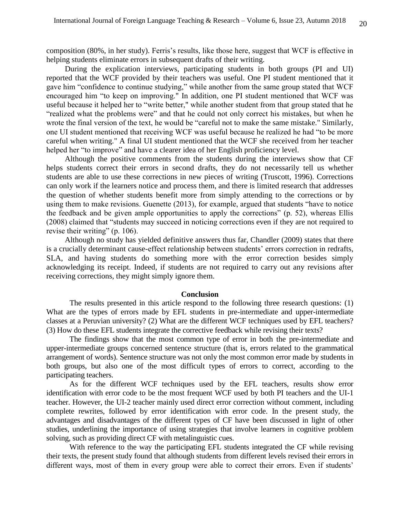composition (80%, in her study). Ferris's results, like those here, suggest that WCF is effective in helping students eliminate errors in subsequent drafts of their writing.

During the explication interviews, participating students in both groups (PI and UI) reported that the WCF provided by their teachers was useful. One PI student mentioned that it gave him "confidence to continue studying," while another from the same group stated that WCF encouraged him "to keep on improving." In addition, one PI student mentioned that WCF was useful because it helped her to "write better," while another student from that group stated that he "realized what the problems were" and that he could not only correct his mistakes, but when he wrote the final version of the text, he would be "careful not to make the same mistake." Similarly, one UI student mentioned that receiving WCF was useful because he realized he had "to be more careful when writing." A final UI student mentioned that the WCF she received from her teacher helped her "to improve" and have a clearer idea of her English proficiency level.

Although the positive comments from the students during the interviews show that CF helps students correct their errors in second drafts, they do not necessarily tell us whether students are able to use these corrections in new pieces of writing (Truscott, 1996). Corrections can only work if the learners notice and process them, and there is limited research that addresses the question of whether students benefit more from simply attending to the corrections or by using them to make revisions. Guenette (2013), for example, argued that students "have to notice the feedback and be given ample opportunities to apply the corrections" (p. 52), whereas Ellis (2008) claimed that "students may succeed in noticing corrections even if they are not required to revise their writing" (p. 106).

Although no study has yielded definitive answers thus far, Chandler (2009) states that there is a crucially determinant cause-effect relationship between students' errors correction in redrafts, SLA, and having students do something more with the error correction besides simply acknowledging its receipt. Indeed, if students are not required to carry out any revisions after receiving corrections, they might simply ignore them.

#### **Conclusion**

 The results presented in this article respond to the following three research questions: (1) What are the types of errors made by EFL students in pre-intermediate and upper-intermediate classes at a Peruvian university? (2) What are the different WCF techniques used by EFL teachers? (3) How do these EFL students integrate the corrective feedback while revising their texts?

The findings show that the most common type of error in both the pre-intermediate and upper-intermediate groups concerned sentence structure (that is, errors related to the grammatical arrangement of words). Sentence structure was not only the most common error made by students in both groups, but also one of the most difficult types of errors to correct, according to the participating teachers.

As for the different WCF techniques used by the EFL teachers, results show error identification with error code to be the most frequent WCF used by both PI teachers and the UI-1 teacher. However, the UI-2 teacher mainly used direct error correction without comment, including complete rewrites, followed by error identification with error code. In the present study, the advantages and disadvantages of the different types of CF have been discussed in light of other studies, underlining the importance of using strategies that involve learners in cognitive problem solving, such as providing direct CF with metalinguistic cues.

With reference to the way the participating EFL students integrated the CF while revising their texts, the present study found that although students from different levels revised their errors in different ways, most of them in every group were able to correct their errors. Even if students'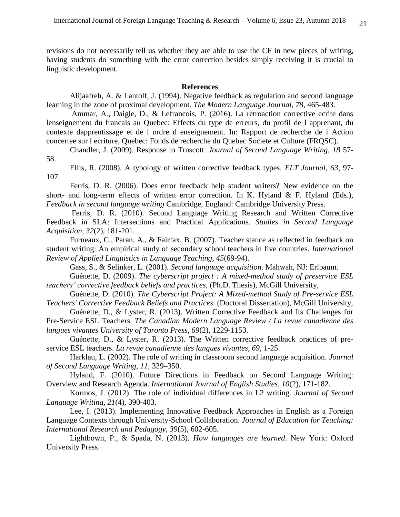revisions do not necessarily tell us whether they are able to use the CF in new pieces of writing, having students do something with the error correction besides simply receiving it is crucial to linguistic development.

#### **References**

 Alijaafreh, A. & Lantolf, J. (1994). Negative feedback as regulation and second language learning in the zone of proximal development. *The Modern Language Journal, 78*, 465-483.

 Ammar, A., Daigle, D., & Lefrancois, P. (2016). La retroaction corrective ecrite dans lenseignement du francais au Quebec: Effects du type de erreurs, du profil de l apprenant, du contexte dapprentissage et de l ordre d enseignement. In: Rapport de recherche de i Action concertee sur l ecriture, Quebec: Fonds de recherche du Quebec Societe et Culture (FRQSC).

Chandler, J. (2009). Response to Truscott. *Journal of Second Language Writing, 18* 57- 58.

Ellis, R. (2008). A typology of written corrective feedback types. *ELT Journal, 63*, 97- 107.

Ferris, D. R. (2006). Does error feedback help student writers? New evidence on the short- and long-term effects of written error correction. In K. Hyland  $&$  F. Hyland (Eds.), *Feedback in second language writing* Cambridge, England: Cambridge University Press.

 Ferris, D. R. (2010). Second Language Writing Research and Written Corrective Feedback in SLA: Intersections and Practical Applications. *Studies in Second Language Acquisition, 32*(2), 181-201.

Furneaux, C., Paran, A., & Fairfax, B. (2007). Teacher stance as reflected in feedback on student writing: An empirical study of secondary school teachers in five countries. *International Review of Applied Linguistics in Language Teaching, 45*(69-94).

Gass, S., & Selinker, L. (2001). *Second language acquisition*. Mahwah, NJ: Erlbaum.

Guénette, D. (2009). *The cyberscript project : A mixed-method study of preservice ESL teachers' corrective feedback beliefs and practices.* (Ph.D. Thesis), McGill University,

Guénette, D. (2010). *The Cyberscript Project: A Mixed-method Study of Pre-service ESL Teachers' Corrective Feedback Beliefs and Practices.* (Doctoral Dissertation), McGill University,

Guénette, D., & Lyster, R. (2013). Written Corrective Feedback and Its Challenges for Pre-Service ESL Teachers. *The Canadian Modern Language Review / La revue canadienne des langues vivantes University of Toronto Press, 69*(2), 1229-1153.

Guénette, D., & Lyster, R. (2013). The Written corrective feedback practices of preservice ESL teachers. *La revue canadienne des langues vivantes, 69*, 1-25.

Harklau, L. (2002). The role of writing in classroom second language acquisition. *Journal of Second Language Writing, 11*, 329–350.

Hyland, F. (2010). Future Directions in Feedback on Second Language Writing: Overview and Research Agenda. *International Journal of English Studies, 10*(2), 171-182.

Kormos, J. (2012). The role of individual differences in L2 writing. *Journal of Second Language Writing, 21*(4), 390-403.

Lee, I. (2013). Implementing Innovative Feedback Approaches in English as a Foreign Language Contexts through University-School Collaboration. *Journal of Education for Teaching: International Research and Pedagogy, 39*(5), 602-605.

Lightbown, P., & Spada, N. (2013). *How languages are learned*. New York: Oxford University Press.